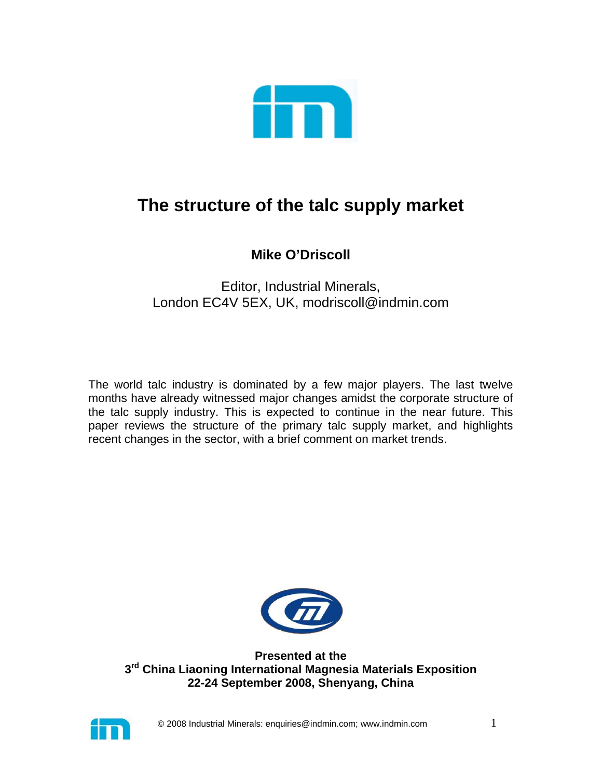

# **The structure of the talc supply market**

# **Mike O'Driscoll**

# Editor, Industrial Minerals, London EC4V 5EX, UK, modriscoll@indmin.com

The world talc industry is dominated by a few major players. The last twelve months have already witnessed major changes amidst the corporate structure of the talc supply industry. This is expected to continue in the near future. This paper reviews the structure of the primary talc supply market, and highlights recent changes in the sector, with a brief comment on market trends.



**Presented at the 3rd China Liaoning International Magnesia Materials Exposition 22-24 September 2008, Shenyang, China** 

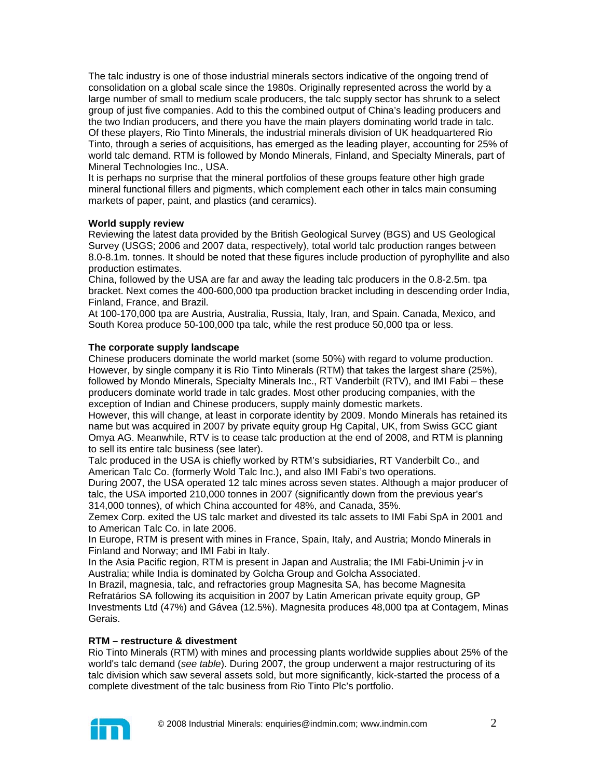The talc industry is one of those industrial minerals sectors indicative of the ongoing trend of consolidation on a global scale since the 1980s. Originally represented across the world by a large number of small to medium scale producers, the talc supply sector has shrunk to a select group of just five companies. Add to this the combined output of China's leading producers and the two Indian producers, and there you have the main players dominating world trade in talc. Of these players, Rio Tinto Minerals, the industrial minerals division of UK headquartered Rio Tinto, through a series of acquisitions, has emerged as the leading player, accounting for 25% of world talc demand. RTM is followed by Mondo Minerals, Finland, and Specialty Minerals, part of Mineral Technologies Inc., USA.

It is perhaps no surprise that the mineral portfolios of these groups feature other high grade mineral functional fillers and pigments, which complement each other in talcs main consuming markets of paper, paint, and plastics (and ceramics).

#### **World supply review**

Reviewing the latest data provided by the British Geological Survey (BGS) and US Geological Survey (USGS; 2006 and 2007 data, respectively), total world talc production ranges between 8.0-8.1m. tonnes. It should be noted that these figures include production of pyrophyllite and also production estimates.

China, followed by the USA are far and away the leading talc producers in the 0.8-2.5m. tpa bracket. Next comes the 400-600,000 tpa production bracket including in descending order India, Finland, France, and Brazil.

At 100-170,000 tpa are Austria, Australia, Russia, Italy, Iran, and Spain. Canada, Mexico, and South Korea produce 50-100,000 tpa talc, while the rest produce 50,000 tpa or less.

# **The corporate supply landscape**

Chinese producers dominate the world market (some 50%) with regard to volume production. However, by single company it is Rio Tinto Minerals (RTM) that takes the largest share (25%), followed by Mondo Minerals, Specialty Minerals Inc., RT Vanderbilt (RTV), and IMI Fabi – these producers dominate world trade in talc grades. Most other producing companies, with the exception of Indian and Chinese producers, supply mainly domestic markets.

However, this will change, at least in corporate identity by 2009. Mondo Minerals has retained its name but was acquired in 2007 by private equity group Hg Capital, UK, from Swiss GCC giant Omya AG. Meanwhile, RTV is to cease talc production at the end of 2008, and RTM is planning to sell its entire talc business (see later).

Talc produced in the USA is chiefly worked by RTM's subsidiaries, RT Vanderbilt Co., and American Talc Co. (formerly Wold Talc Inc.), and also IMI Fabi's two operations.

During 2007, the USA operated 12 talc mines across seven states. Although a major producer of talc, the USA imported 210,000 tonnes in 2007 (significantly down from the previous year's 314,000 tonnes), of which China accounted for 48%, and Canada, 35%.

Zemex Corp. exited the US talc market and divested its talc assets to IMI Fabi SpA in 2001 and to American Talc Co. in late 2006.

In Europe, RTM is present with mines in France, Spain, Italy, and Austria; Mondo Minerals in Finland and Norway; and IMI Fabi in Italy.

In the Asia Pacific region, RTM is present in Japan and Australia; the IMI Fabi-Unimin j-v in Australia; while India is dominated by Golcha Group and Golcha Associated.

In Brazil, magnesia, talc, and refractories group Magnesita SA, has become Magnesita Refratários SA following its acquisition in 2007 by Latin American private equity group, GP Investments Ltd (47%) and Gávea (12.5%). Magnesita produces 48,000 tpa at Contagem, Minas Gerais.

# **RTM – restructure & divestment**

Rio Tinto Minerals (RTM) with mines and processing plants worldwide supplies about 25% of the world's talc demand (*see table*). During 2007, the group underwent a major restructuring of its talc division which saw several assets sold, but more significantly, kick-started the process of a complete divestment of the talc business from Rio Tinto Plc's portfolio.

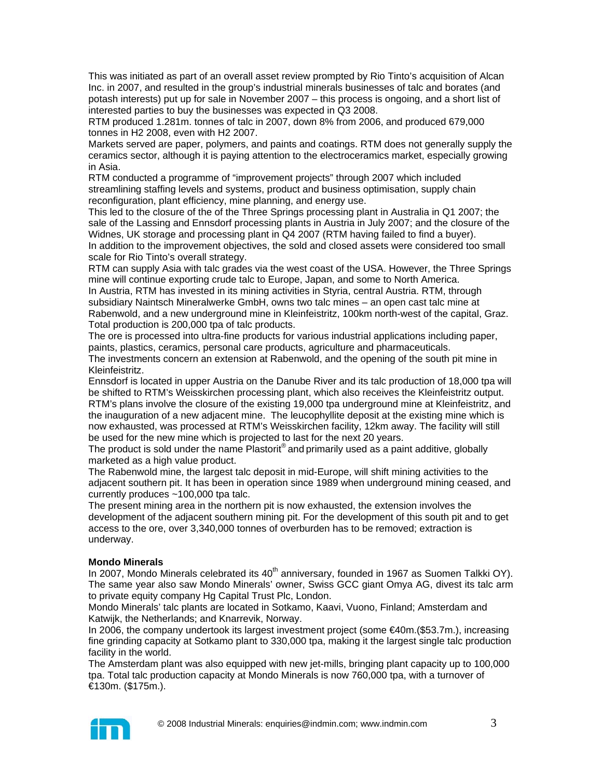This was initiated as part of an overall asset review prompted by Rio Tinto's acquisition of Alcan Inc. in 2007, and resulted in the group's industrial minerals businesses of talc and borates (and potash interests) put up for sale in November 2007 – this process is ongoing, and a short list of interested parties to buy the businesses was expected in Q3 2008.

RTM produced 1.281m. tonnes of talc in 2007, down 8% from 2006, and produced 679,000 tonnes in H2 2008, even with H2 2007.

Markets served are paper, polymers, and paints and coatings. RTM does not generally supply the ceramics sector, although it is paying attention to the electroceramics market, especially growing in Asia.

RTM conducted a programme of "improvement projects" through 2007 which included streamlining staffing levels and systems, product and business optimisation, supply chain reconfiguration, plant efficiency, mine planning, and energy use.

This led to the closure of the of the Three Springs processing plant in Australia in Q1 2007; the sale of the Lassing and Ennsdorf processing plants in Austria in July 2007; and the closure of the Widnes, UK storage and processing plant in Q4 2007 (RTM having failed to find a buyer). In addition to the improvement objectives, the sold and closed assets were considered too small scale for Rio Tinto's overall strategy.

RTM can supply Asia with talc grades via the west coast of the USA. However, the Three Springs mine will continue exporting crude talc to Europe, Japan, and some to North America.

In Austria, RTM has invested in its mining activities in Styria, central Austria. RTM, through subsidiary Naintsch Mineralwerke GmbH, owns two talc mines – an open cast talc mine at Rabenwold, and a new underground mine in Kleinfeistritz, 100km north-west of the capital, Graz. Total production is 200,000 tpa of talc products.

The ore is processed into ultra-fine products for various industrial applications including paper, paints, plastics, ceramics, personal care products, agriculture and pharmaceuticals.

The investments concern an extension at Rabenwold, and the opening of the south pit mine in Kleinfeistritz.

Ennsdorf is located in upper Austria on the Danube River and its talc production of 18,000 tpa will be shifted to RTM's Weisskirchen processing plant, which also receives the Kleinfeistritz output. RTM's plans involve the closure of the existing 19,000 tpa underground mine at Kleinfeistritz, and the inauguration of a new adjacent mine. The leucophyllite deposit at the existing mine which is now exhausted, was processed at RTM's Weisskirchen facility, 12km away. The facility will still be used for the new mine which is projected to last for the next 20 years.

The product is sold under the name Plastorit<sup>®</sup> and primarily used as a paint additive, globally marketed as a high value product.

The Rabenwold mine, the largest talc deposit in mid-Europe, will shift mining activities to the adjacent southern pit. It has been in operation since 1989 when underground mining ceased, and currently produces ~100,000 tpa talc.

The present mining area in the northern pit is now exhausted, the extension involves the development of the adjacent southern mining pit. For the development of this south pit and to get access to the ore, over 3,340,000 tonnes of overburden has to be removed; extraction is underway.

# **Mondo Minerals**

In 2007, Mondo Minerals celebrated its  $40<sup>th</sup>$  anniversary, founded in 1967 as Suomen Talkki OY). The same year also saw Mondo Minerals' owner, Swiss GCC giant Omya AG, divest its talc arm to private equity company Hg Capital Trust Plc, London.

Mondo Minerals' talc plants are located in Sotkamo, Kaavi, Vuono, Finland; Amsterdam and Katwijk, the Netherlands; and Knarrevik, Norway.

In 2006, the company undertook its largest investment project (some €40m.(\$53.7m.), increasing fine grinding capacity at Sotkamo plant to 330,000 tpa, making it the largest single talc production facility in the world.

The Amsterdam plant was also equipped with new jet-mills, bringing plant capacity up to 100,000 tpa. Total talc production capacity at Mondo Minerals is now 760,000 tpa, with a turnover of €130m. (\$175m.).

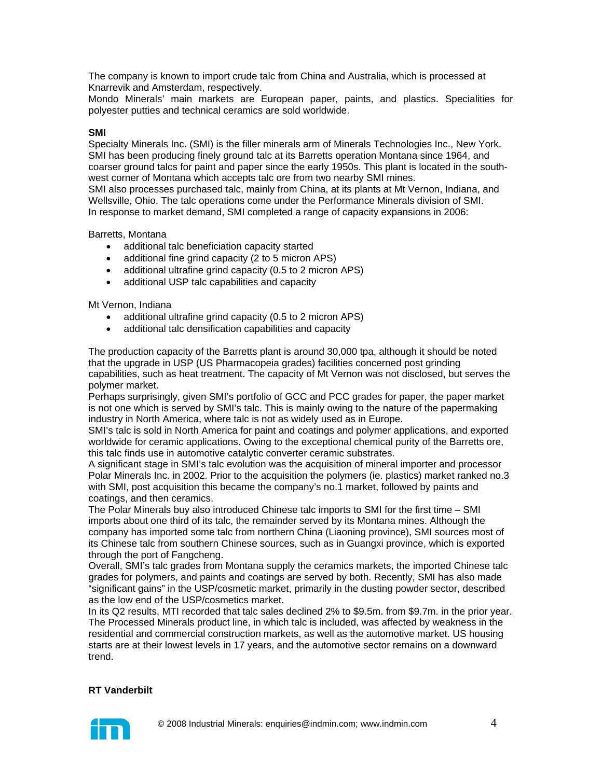The company is known to import crude talc from China and Australia, which is processed at Knarrevik and Amsterdam, respectively.

Mondo Minerals' main markets are European paper, paints, and plastics. Specialities for polyester putties and technical ceramics are sold worldwide.

### **SMI**

Specialty Minerals Inc. (SMI) is the filler minerals arm of Minerals Technologies Inc., New York. SMI has been producing finely ground talc at its Barretts operation Montana since 1964, and coarser ground talcs for paint and paper since the early 1950s. This plant is located in the southwest corner of Montana which accepts talc ore from two nearby SMI mines.

SMI also processes purchased talc, mainly from China, at its plants at Mt Vernon, Indiana, and Wellsville, Ohio. The talc operations come under the Performance Minerals division of SMI. In response to market demand, SMI completed a range of capacity expansions in 2006:

Barretts, Montana

- additional talc beneficiation capacity started
- additional fine grind capacity (2 to 5 micron APS)
- additional ultrafine grind capacity (0.5 to 2 micron APS)
- additional USP talc capabilities and capacity

Mt Vernon, Indiana

- additional ultrafine grind capacity (0.5 to 2 micron APS)
- additional talc densification capabilities and capacity

The production capacity of the Barretts plant is around 30,000 tpa, although it should be noted that the upgrade in USP (US Pharmacopeia grades) facilities concerned post grinding capabilities, such as heat treatment. The capacity of Mt Vernon was not disclosed, but serves the polymer market.

Perhaps surprisingly, given SMI's portfolio of GCC and PCC grades for paper, the paper market is not one which is served by SMI's talc. This is mainly owing to the nature of the papermaking industry in North America, where talc is not as widely used as in Europe.

SMI's talc is sold in North America for paint and coatings and polymer applications, and exported worldwide for ceramic applications. Owing to the exceptional chemical purity of the Barretts ore, this talc finds use in automotive catalytic converter ceramic substrates.

A significant stage in SMI's talc evolution was the acquisition of mineral importer and processor Polar Minerals Inc. in 2002. Prior to the acquisition the polymers (ie. plastics) market ranked no.3 with SMI, post acquisition this became the company's no.1 market, followed by paints and coatings, and then ceramics.

The Polar Minerals buy also introduced Chinese talc imports to SMI for the first time – SMI imports about one third of its talc, the remainder served by its Montana mines. Although the company has imported some talc from northern China (Liaoning province), SMI sources most of its Chinese talc from southern Chinese sources, such as in Guangxi province, which is exported through the port of Fangcheng.

Overall, SMI's talc grades from Montana supply the ceramics markets, the imported Chinese talc grades for polymers, and paints and coatings are served by both. Recently, SMI has also made "significant gains" in the USP/cosmetic market, primarily in the dusting powder sector, described as the low end of the USP/cosmetics market.

In its Q2 results, MTI recorded that talc sales declined 2% to \$9.5m. from \$9.7m. in the prior year. The Processed Minerals product line, in which talc is included, was affected by weakness in the residential and commercial construction markets, as well as the automotive market. US housing starts are at their lowest levels in 17 years, and the automotive sector remains on a downward trend.

#### **RT Vanderbilt**

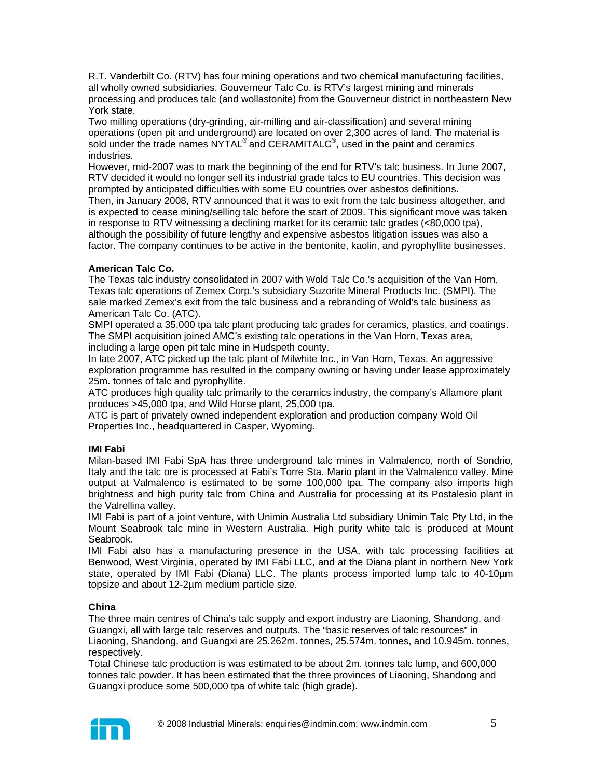R.T. Vanderbilt Co. (RTV) has four mining operations and two chemical manufacturing facilities, all wholly owned subsidiaries. Gouverneur Talc Co. is RTV's largest mining and minerals processing and produces talc (and wollastonite) from the Gouverneur district in northeastern New York state.

Two milling operations (dry-grinding, air-milling and air-classification) and several mining operations (open pit and underground) are located on over 2,300 acres of land. The material is sold under the trade names NYTAL® and CERAMITALC<sup>®</sup>, used in the paint and ceramics industries.

However, mid-2007 was to mark the beginning of the end for RTV's talc business. In June 2007, RTV decided it would no longer sell its industrial grade talcs to EU countries. This decision was prompted by anticipated difficulties with some EU countries over asbestos definitions.

Then, in January 2008, RTV announced that it was to exit from the talc business altogether, and is expected to cease mining/selling talc before the start of 2009. This significant move was taken in response to RTV witnessing a declining market for its ceramic talc grades (<80,000 tpa), although the possibility of future lengthy and expensive asbestos litigation issues was also a factor. The company continues to be active in the bentonite, kaolin, and pyrophyllite businesses.

# **American Talc Co.**

The Texas talc industry consolidated in 2007 with Wold Talc Co.'s acquisition of the Van Horn, Texas talc operations of Zemex Corp.'s subsidiary Suzorite Mineral Products Inc. (SMPI). The sale marked Zemex's exit from the talc business and a rebranding of Wold's talc business as American Talc Co. (ATC).

SMPI operated a 35,000 tpa talc plant producing talc grades for ceramics, plastics, and coatings. The SMPI acquisition joined AMC's existing talc operations in the Van Horn, Texas area, including a large open pit talc mine in Hudspeth county.

In late 2007, ATC picked up the talc plant of Milwhite Inc., in Van Horn, Texas. An aggressive exploration programme has resulted in the company owning or having under lease approximately 25m. tonnes of talc and pyrophyllite.

ATC produces high quality talc primarily to the ceramics industry, the company's Allamore plant produces >45,000 tpa, and Wild Horse plant, 25,000 tpa.

ATC is part of privately owned independent exploration and production company Wold Oil Properties Inc., headquartered in Casper, Wyoming.

# **IMI Fabi**

Milan-based IMI Fabi SpA has three underground talc mines in Valmalenco, north of Sondrio, Italy and the talc ore is processed at Fabi's Torre Sta. Mario plant in the Valmalenco valley. Mine output at Valmalenco is estimated to be some 100,000 tpa. The company also imports high brightness and high purity talc from China and Australia for processing at its Postalesio plant in the Valrellina valley.

IMI Fabi is part of a joint venture, with Unimin Australia Ltd subsidiary Unimin Talc Pty Ltd, in the Mount Seabrook talc mine in Western Australia. High purity white talc is produced at Mount Seabrook.

IMI Fabi also has a manufacturing presence in the USA, with talc processing facilities at Benwood, West Virginia, operated by IMI Fabi LLC, and at the Diana plant in northern New York state, operated by IMI Fabi (Diana) LLC. The plants process imported lump talc to 40-10µm topsize and about 12-2µm medium particle size.

# **China**

The three main centres of China's talc supply and export industry are Liaoning, Shandong, and Guangxi, all with large talc reserves and outputs. The "basic reserves of talc resources" in Liaoning, Shandong, and Guangxi are 25.262m. tonnes, 25.574m. tonnes, and 10.945m. tonnes, respectively.

Total Chinese talc production is was estimated to be about 2m. tonnes talc lump, and 600,000 tonnes talc powder. It has been estimated that the three provinces of Liaoning, Shandong and Guangxi produce some 500,000 tpa of white talc (high grade).

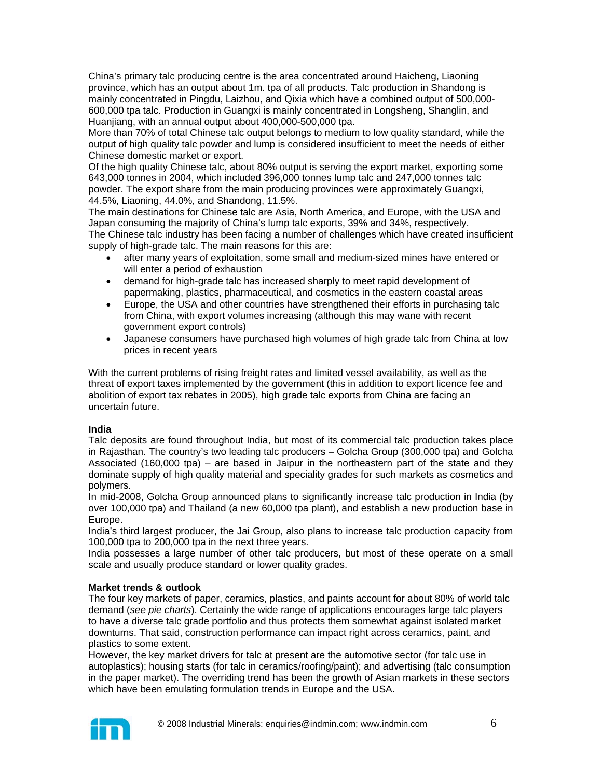China's primary talc producing centre is the area concentrated around Haicheng, Liaoning province, which has an output about 1m. tpa of all products. Talc production in Shandong is mainly concentrated in Pingdu, Laizhou, and Qixia which have a combined output of 500,000- 600,000 tpa talc. Production in Guangxi is mainly concentrated in Longsheng, Shanglin, and Huanjiang, with an annual output about 400,000-500,000 tpa.

More than 70% of total Chinese talc output belongs to medium to low quality standard, while the output of high quality talc powder and lump is considered insufficient to meet the needs of either Chinese domestic market or export.

Of the high quality Chinese talc, about 80% output is serving the export market, exporting some 643,000 tonnes in 2004, which included 396,000 tonnes lump talc and 247,000 tonnes talc powder. The export share from the main producing provinces were approximately Guangxi, 44.5%, Liaoning, 44.0%, and Shandong, 11.5%.

The main destinations for Chinese talc are Asia, North America, and Europe, with the USA and Japan consuming the majority of China's lump talc exports, 39% and 34%, respectively. The Chinese talc industry has been facing a number of challenges which have created insufficient supply of high-grade talc. The main reasons for this are:

- after many years of exploitation, some small and medium-sized mines have entered or will enter a period of exhaustion
- demand for high-grade talc has increased sharply to meet rapid development of papermaking, plastics, pharmaceutical, and cosmetics in the eastern coastal areas
- Europe, the USA and other countries have strengthened their efforts in purchasing talc from China, with export volumes increasing (although this may wane with recent government export controls)
- Japanese consumers have purchased high volumes of high grade talc from China at low prices in recent years

With the current problems of rising freight rates and limited vessel availability, as well as the threat of export taxes implemented by the government (this in addition to export licence fee and abolition of export tax rebates in 2005), high grade talc exports from China are facing an uncertain future.

# **India**

Talc deposits are found throughout India, but most of its commercial talc production takes place in Rajasthan. The country's two leading talc producers – Golcha Group (300,000 tpa) and Golcha Associated (160,000 tpa) – are based in Jaipur in the northeastern part of the state and they dominate supply of high quality material and speciality grades for such markets as cosmetics and polymers.

In mid-2008, Golcha Group announced plans to significantly increase talc production in India (by over 100,000 tpa) and Thailand (a new 60,000 tpa plant), and establish a new production base in Europe.

India's third largest producer, the Jai Group, also plans to increase talc production capacity from 100,000 tpa to 200,000 tpa in the next three years.

India possesses a large number of other talc producers, but most of these operate on a small scale and usually produce standard or lower quality grades.

# **Market trends & outlook**

The four key markets of paper, ceramics, plastics, and paints account for about 80% of world talc demand (*see pie charts*). Certainly the wide range of applications encourages large talc players to have a diverse talc grade portfolio and thus protects them somewhat against isolated market downturns. That said, construction performance can impact right across ceramics, paint, and plastics to some extent.

However, the key market drivers for talc at present are the automotive sector (for talc use in autoplastics); housing starts (for talc in ceramics/roofing/paint); and advertising (talc consumption in the paper market). The overriding trend has been the growth of Asian markets in these sectors which have been emulating formulation trends in Europe and the USA.